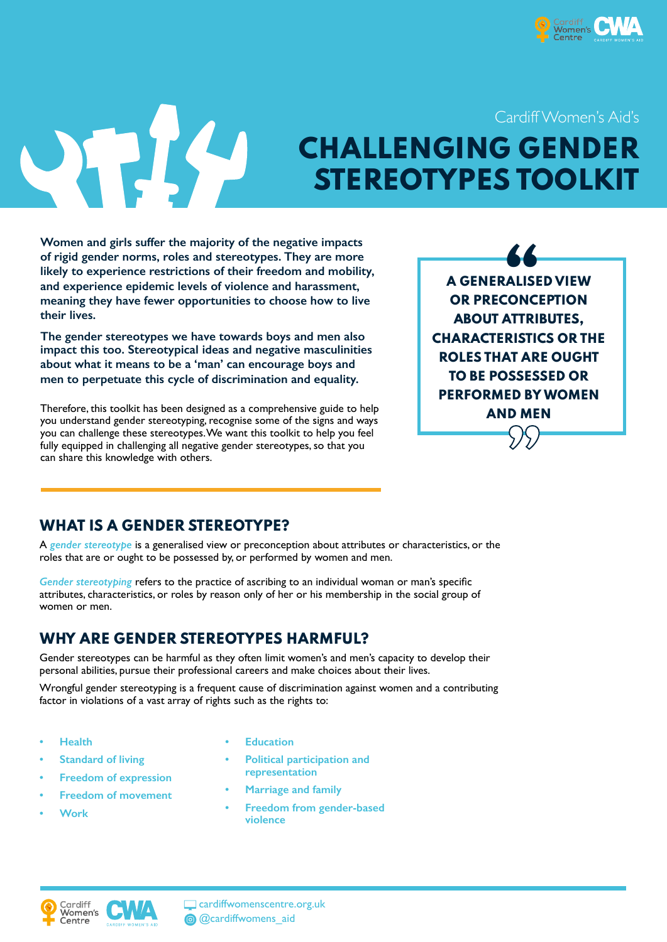

Cardiff Women's Aid's

UFICA

# **CHALLENGING GENDER STEREOTYPES TOOLK**

**Women and girls suffer the majority of the negative impacts of rigid gender norms, roles and stereotypes. They are more likely to experience restrictions of their freedom and mobility, and experience epidemic levels of violence and harassment, meaning they have fewer opportunities to choose how to live their lives.** 

**The gender stereotypes we have towards boys and men also impact this too. Stereotypical ideas and negative masculinities about what it means to be a 'man' can encourage boys and men to perpetuate this cycle of discrimination and equality.**

Therefore, this toolkit has been designed as a comprehensive guide to help you understand gender stereotyping, recognise some of the signs and ways you can challenge these stereotypes. We want this toolkit to help you feel fully equipped in challenging all negative gender stereotypes, so that you can share this knowledge with others.

**A GENERALISED VIEW OR PRECONCEPTION ABOUT ATTRIBUTES, CHARACTERISTICS OR THE ROLES THAT ARE OUGHT TO BE POSSESSED OR PERFORMED BY WOMEN AND MEN 66**<br>ALISE<br>CONCI **D** B I<br>D MEI<br> $\bigcirc$ 

## **WHAT IS A GENDER STEREOTYPE?**

A *gender stereotype* is a generalised view or preconception about attributes or characteristics, or the roles that are or ought to be possessed by, or performed by women and men.

*Gender stereotyping* refers to the practice of ascribing to an individual woman or man's specific attributes, characteristics, or roles by reason only of her or his membership in the social group of women or men.

#### **WHY ARE GENDER STEREOTYPES HARMFUL?**

Gender stereotypes can be harmful as they often limit women's and men's capacity to develop their personal abilities, pursue their professional careers and make choices about their lives.

Wrongful gender stereotyping is a frequent cause of discrimination against women and a contributing factor in violations of a vast array of rights such as the rights to:

- **• Health**
- **• Standard of living**
- **• Freedom of expression**
- **• Freedom of movement**
- **• Work**
- **• Education**
- **• Political participation and representation**
- **• Marriage and family**
- **• Freedom from gender-based violence**





cardiffwomenscentre.org.uk @ @cardiffwomens\_aid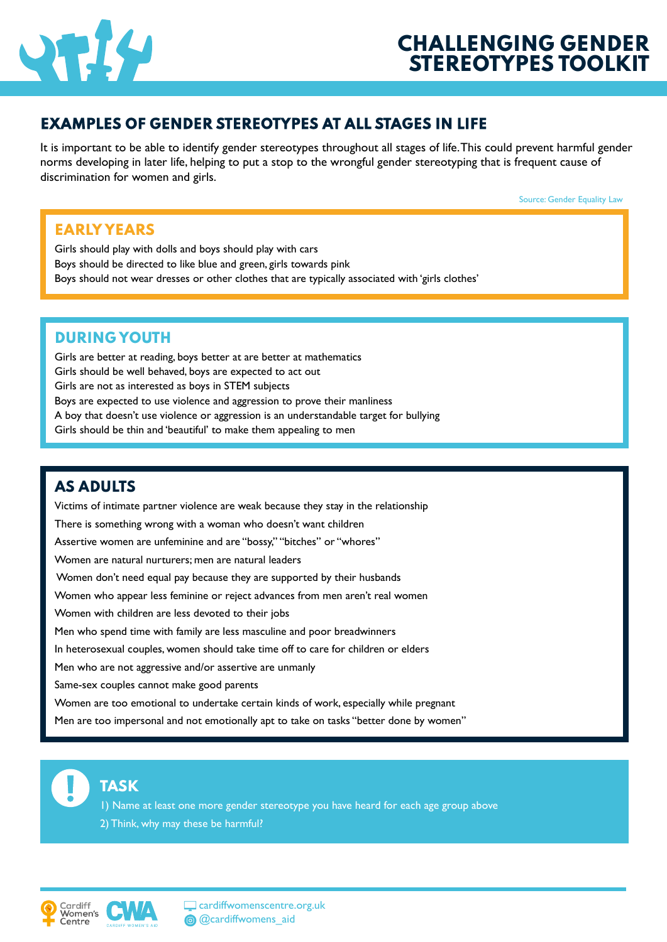

## **EXAMPLES OF GENDER STEREOTYPES AT ALL STAGES IN LIFE**

It is important to be able to identify gender stereotypes throughout all stages of life. This could prevent harmful gender norms developing in later life, helping to put a stop to the wrongful gender stereotyping that is frequent cause of discrimination for women and girls.

Source: Gender Equality Law

## **EARLY YEARS**

Girls should play with dolls and boys should play with cars Boys should be directed to like blue and green, girls towards pink Boys should not wear dresses or other clothes that are typically associated with 'girls clothes'

#### **DURING YOUTH**

Girls are better at reading, boys better at are better at mathematics Girls should be well behaved, boys are expected to act out Girls are not as interested as boys in STEM subjects Boys are expected to use violence and aggression to prove their manliness A boy that doesn't use violence or aggression is an understandable target for bullying Girls should be thin and 'beautiful' to make them appealing to men

## **AS ADULTS**

Victims of intimate partner violence are weak because they stay in the relationship There is something wrong with a woman who doesn't want children Assertive women are unfeminine and are "bossy," "bitches" or "whores" Women are natural nurturers; men are natural leaders Women don't need equal pay because they are supported by their husbands Women who appear less feminine or reject advances from men aren't real women Women with children are less devoted to their jobs Men who spend time with family are less masculine and poor breadwinners In heterosexual couples, women should take time off to care for children or elders Men who are not aggressive and/or assertive are unmanly Same-sex couples cannot make good parents Women are too emotional to undertake certain kinds of work, especially while pregnant

Men are too impersonal and not emotionally apt to take on tasks "better done by women"



# **TASK**

1) Name at least one more gender stereotype you have heard for each age group above 2) Think, why may these be harmful?





Cardiffwomenscentre.org.uk <sup>@</sup> @cardiffwomens\_aid